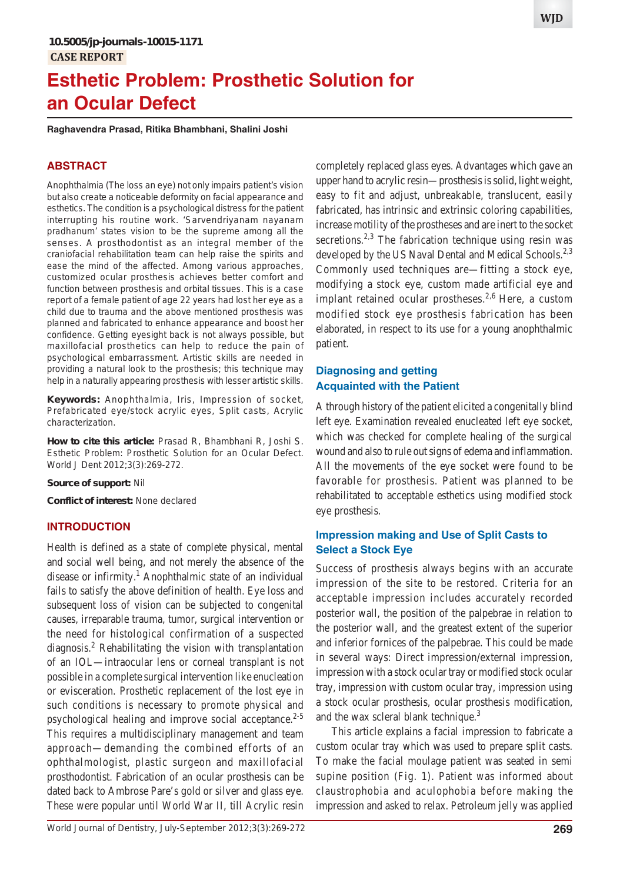# **Esthetic Problem: Prosthetic Solution for an Ocular Defect**

**Raghavendra Prasad, Ritika Bhambhani, Shalini Joshi**

## **ABSTRACT**

Anophthalmia (The loss an eye) not only impairs patient's vision but also create a noticeable deformity on facial appearance and esthetics. The condition is a psychological distress for the patient interrupting his routine work. 'Sarvendriyanam nayanam pradhanum' states vision to be the supreme among all the senses. A prosthodontist as an integral member of the craniofacial rehabilitation team can help raise the spirits and ease the mind of the affected. Among various approaches, customized ocular prosthesis achieves better comfort and function between prosthesis and orbital tissues. This is a case report of a female patient of age 22 years had lost her eye as a child due to trauma and the above mentioned prosthesis was planned and fabricated to enhance appearance and boost her confidence. Getting eyesight back is not always possible, but maxillofacial prosthetics can help to reduce the pain of psychological embarrassment. Artistic skills are needed in providing a natural look to the prosthesis; this technique may help in a naturally appearing prosthesis with lesser artistic skills.

**Keywords:** Anophthalmia, Iris, Impression of socket, Prefabricated eye/stock acrylic eyes, Split casts, Acrylic characterization.

**How to cite this article:** Prasad R, Bhambhani R, Joshi S. Esthetic Problem: Prosthetic Solution for an Ocular Defect. World J Dent 2012;3(3):269-272.

**Source of support:** Nil

**Conflict of interest:** None declared

#### **INTRODUCTION**

Health is defined as a state of complete physical, mental and social well being, and not merely the absence of the disease or infirmity.<sup>1</sup> Anophthalmic state of an individual fails to satisfy the above definition of health. Eye loss and subsequent loss of vision can be subjected to congenital causes, irreparable trauma, tumor, surgical intervention or the need for histological confirmation of a suspected diagnosis.<sup>2</sup> Rehabilitating the vision with transplantation of an IOL—intraocular lens or corneal transplant is not possible in a complete surgical intervention like enucleation or evisceration. Prosthetic replacement of the lost eye in such conditions is necessary to promote physical and psychological healing and improve social acceptance. $2-5$ This requires a multidisciplinary management and team approach—demanding the combined efforts of an ophthalmologist, plastic surgeon and maxillofacial prosthodontist. Fabrication of an ocular prosthesis can be dated back to Ambrose Pare's gold or silver and glass eye. These were popular until World War II, till Acrylic resin

completely replaced glass eyes. Advantages which gave an upper hand to acrylic resin—prosthesis is solid, light weight, easy to fit and adjust, unbreakable, translucent, easily fabricated, has intrinsic and extrinsic coloring capabilities, increase motility of the prostheses and are inert to the socket secretions.<sup>2,3</sup> The fabrication technique using resin was developed by the US Naval Dental and Medical Schools.<sup>2,3</sup> Commonly used techniques are—fitting a stock eye, modifying a stock eye, custom made artificial eye and implant retained ocular prostheses.<sup>2,6</sup> Here, a custom modified stock eye prosthesis fabrication has been elaborated, in respect to its use for a young anophthalmic patient.

# **Diagnosing and getting Acquainted with the Patient**

A through history of the patient elicited a congenitally blind left eye. Examination revealed enucleated left eye socket, which was checked for complete healing of the surgical wound and also to rule out signs of edema and inflammation. All the movements of the eye socket were found to be favorable for prosthesis. Patient was planned to be rehabilitated to acceptable esthetics using modified stock eye prosthesis.

# **Impression making and Use of Split Casts to Select a Stock Eye**

Success of prosthesis always begins with an accurate impression of the site to be restored. Criteria for an acceptable impression includes accurately recorded posterior wall, the position of the palpebrae in relation to the posterior wall, and the greatest extent of the superior and inferior fornices of the palpebrae. This could be made in several ways: Direct impression/external impression, impression with a stock ocular tray or modified stock ocular tray, impression with custom ocular tray, impression using a stock ocular prosthesis, ocular prosthesis modification, and the wax scleral blank technique.<sup>3</sup>

This article explains a facial impression to fabricate a custom ocular tray which was used to prepare split casts. To make the facial moulage patient was seated in semi supine position (Fig. 1). Patient was informed about claustrophobia and aculophobia before making the impression and asked to relax. Petroleum jelly was applied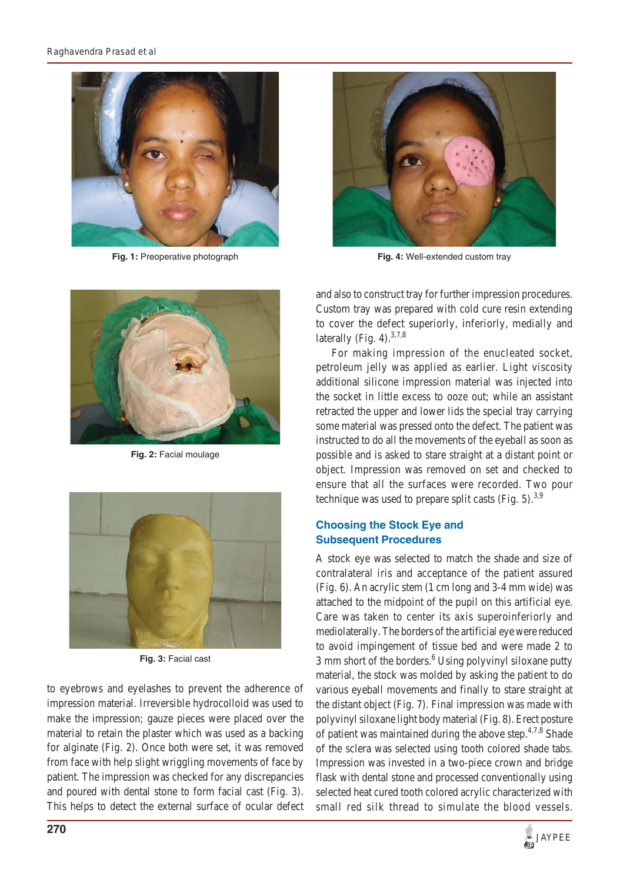

**Fig. 1:** Preoperative photograph



**Fig. 4:** Well-extended custom tray



**Fig. 2:** Facial moulage



**Fig. 3:** Facial cast

to eyebrows and eyelashes to prevent the adherence of impression material. Irreversible hydrocolloid was used to make the impression; gauze pieces were placed over the material to retain the plaster which was used as a backing for alginate (Fig. 2). Once both were set, it was removed from face with help slight wriggling movements of face by patient. The impression was checked for any discrepancies and poured with dental stone to form facial cast (Fig. 3). This helps to detect the external surface of ocular defect

and also to construct tray for further impression procedures. Custom tray was prepared with cold cure resin extending to cover the defect superiorly, inferiorly, medially and laterally (Fig. 4). $3,7,8$ 

For making impression of the enucleated socket, petroleum jelly was applied as earlier. Light viscosity additional silicone impression material was injected into the socket in little excess to ooze out; while an assistant retracted the upper and lower lids the special tray carrying some material was pressed onto the defect. The patient was instructed to do all the movements of the eyeball as soon as possible and is asked to stare straight at a distant point or object. Impression was removed on set and checked to ensure that all the surfaces were recorded. Two pour technique was used to prepare split casts (Fig.  $5$ ).<sup>3,9</sup>

# **Choosing the Stock Eye and Subsequent Procedures**

A stock eye was selected to match the shade and size of contralateral iris and acceptance of the patient assured (Fig. 6). An acrylic stem (1 cm long and 3-4 mm wide) was attached to the midpoint of the pupil on this artificial eye. Care was taken to center its axis superoinferiorly and mediolaterally. The borders of the artificial eye were reduced to avoid impingement of tissue bed and were made 2 to 3 mm short of the borders.<sup>6</sup> Using polyvinyl siloxane putty material, the stock was molded by asking the patient to do various eyeball movements and finally to stare straight at the distant object (Fig. 7). Final impression was made with polyvinyl siloxane light body material (Fig. 8). Erect posture of patient was maintained during the above step. $4,7,8$  Shade of the sclera was selected using tooth colored shade tabs. Impression was invested in a two-piece crown and bridge flask with dental stone and processed conventionally using selected heat cured tooth colored acrylic characterized with small red silk thread to simulate the blood vessels.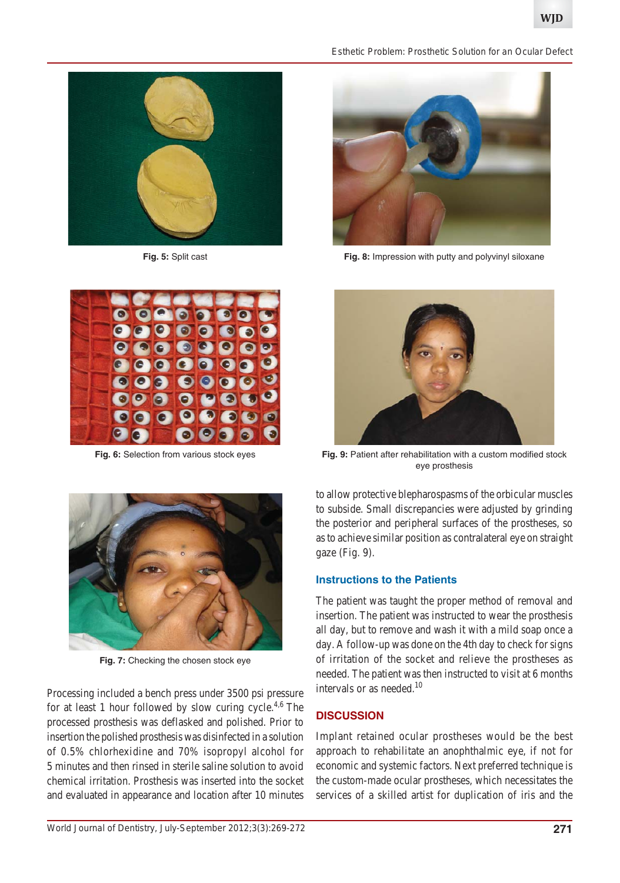

**Fig. 5:** Split cast



**Fig. 6:** Selection from various stock eyes



**Fig. 7:** Checking the chosen stock eye

Processing included a bench press under 3500 psi pressure for at least 1 hour followed by slow curing cycle.<sup>4,6</sup> The processed prosthesis was deflasked and polished. Prior to insertion the polished prosthesis was disinfected in a solution of 0.5% chlorhexidine and 70% isopropyl alcohol for 5 minutes and then rinsed in sterile saline solution to avoid chemical irritation. Prosthesis was inserted into the socket and evaluated in appearance and location after 10 minutes





**Fig. 8:** Impression with putty and polyvinyl siloxane



**Fig. 9:** Patient after rehabilitation with a custom modified stock eye prosthesis

to allow protective blepharospasms of the orbicular muscles to subside. Small discrepancies were adjusted by grinding the posterior and peripheral surfaces of the prostheses, so as to achieve similar position as contralateral eye on straight gaze (Fig. 9).

#### **Instructions to the Patients**

The patient was taught the proper method of removal and insertion. The patient was instructed to wear the prosthesis all day, but to remove and wash it with a mild soap once a day. A follow-up was done on the 4th day to check for signs of irritation of the socket and relieve the prostheses as needed. The patient was then instructed to visit at 6 months intervals or as needed.<sup>10</sup>

#### **DISCUSSION**

Implant retained ocular prostheses would be the best approach to rehabilitate an anophthalmic eye, if not for economic and systemic factors. Next preferred technique is the custom-made ocular prostheses, which necessitates the services of a skilled artist for duplication of iris and the